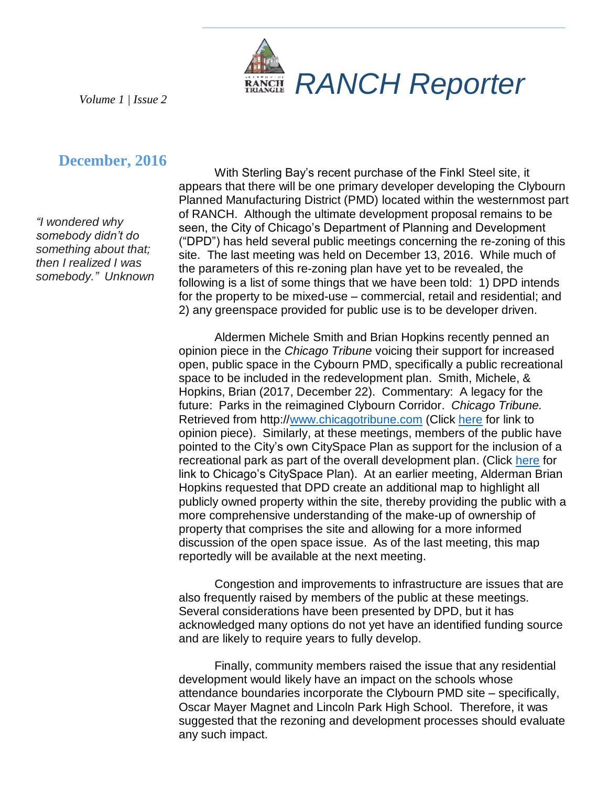

*Volume 1 | Issue 2*

# **December, 2016**

*"I wondered why somebody didn't do something about that; then I realized I was somebody." Unknown*

With Sterling Bay's recent purchase of the Finkl Steel site, it appears that there will be one primary developer developing the Clybourn Planned Manufacturing District (PMD) located within the westernmost part of RANCH. Although the ultimate development proposal remains to be seen, the City of Chicago's Department of Planning and Development ("DPD") has held several public meetings concerning the re-zoning of this site. The last meeting was held on December 13, 2016. While much of the parameters of this re-zoning plan have yet to be revealed, the following is a list of some things that we have been told: 1) DPD intends for the property to be mixed-use – commercial, retail and residential; and 2) any greenspace provided for public use is to be developer driven.

Aldermen Michele Smith and Brian Hopkins recently penned an opinion piece in the *Chicago Tribune* voicing their support for increased open, public space in the Cybourn PMD, specifically a public recreational space to be included in the redevelopment plan. Smith, Michele, & Hopkins, Brian (2017, December 22). Commentary: A legacy for the future: Parks in the reimagined Clybourn Corridor. *Chicago Tribune.* Retrieved from http:/[/www.chicagotribune.com](http://www.chicagotribune.com/) (Click [here](http://www.chicagotribune.com/news/opinion/commentary/ct-finkl-parkland-grant-park-montgomery-ward-perspec-1223-jm-20161222-story.html) for link to opinion piece). Similarly, at these meetings, members of the public have pointed to the City's own CitySpace Plan as support for the inclusion of a recreational park as part of the overall development plan. (Click [here](https://www.cityofchicago.org/city/en/depts/dcd/supp_info/cityspace_plan.html) for link to Chicago's CitySpace Plan). At an earlier meeting, Alderman Brian Hopkins requested that DPD create an additional map to highlight all publicly owned property within the site, thereby providing the public with a more comprehensive understanding of the make-up of ownership of property that comprises the site and allowing for a more informed discussion of the open space issue. As of the last meeting, this map reportedly will be available at the next meeting.

Congestion and improvements to infrastructure are issues that are also frequently raised by members of the public at these meetings. Several considerations have been presented by DPD, but it has acknowledged many options do not yet have an identified funding source and are likely to require years to fully develop.

Finally, community members raised the issue that any residential development would likely have an impact on the schools whose attendance boundaries incorporate the Clybourn PMD site – specifically, Oscar Mayer Magnet and Lincoln Park High School. Therefore, it was suggested that the rezoning and development processes should evaluate any such impact.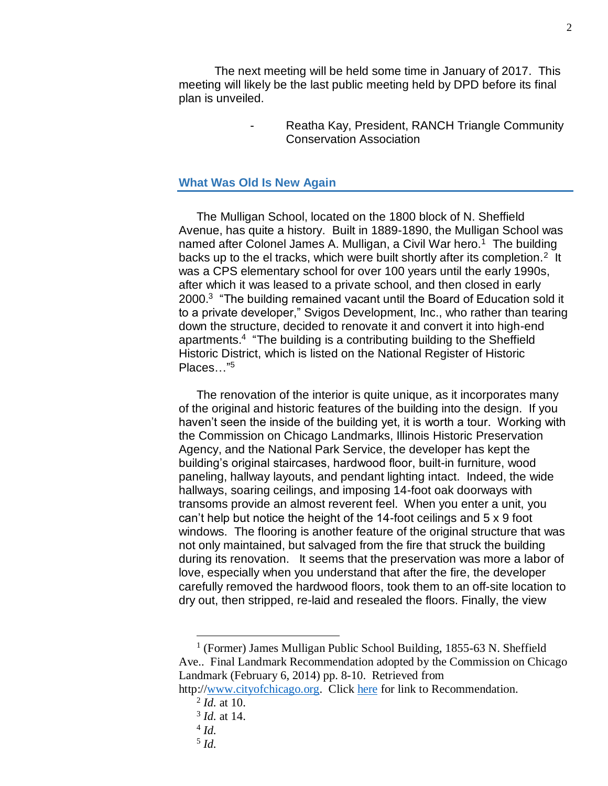The next meeting will be held some time in January of 2017. This meeting will likely be the last public meeting held by DPD before its final plan is unveiled.

> Reatha Kay, President, RANCH Triangle Community Conservation Association

### **What Was Old Is New Again**

The Mulligan School, located on the 1800 block of N. Sheffield Avenue, has quite a history. Built in 1889-1890, the Mulligan School was named after Colonel James A. Mulligan, a Civil War hero.<sup>1</sup> The building backs up to the el tracks, which were built shortly after its completion.<sup>2</sup> It was a CPS elementary school for over 100 years until the early 1990s, after which it was leased to a private school, and then closed in early 2000.<sup>3</sup> "The building remained vacant until the Board of Education sold it to a private developer," Svigos Development, Inc., who rather than tearing down the structure, decided to renovate it and convert it into high-end apartments.<sup>4</sup> "The building is a contributing building to the Sheffield Historic District, which is listed on the National Register of Historic Places…" 5

The renovation of the interior is quite unique, as it incorporates many of the original and historic features of the building into the design. If you haven't seen the inside of the building yet, it is worth a tour. Working with the Commission on Chicago Landmarks, Illinois Historic Preservation Agency, and the National Park Service, the developer has kept the building's original staircases, hardwood floor, built-in furniture, wood paneling, hallway layouts, and pendant lighting intact. Indeed, the wide hallways, soaring ceilings, and imposing 14-foot oak doorways with transoms provide an almost reverent feel. When you enter a unit, you can't help but notice the height of the 14-foot ceilings and 5 x 9 foot windows. The flooring is another feature of the original structure that was not only maintained, but salvaged from the fire that struck the building during its renovation. It seems that the preservation was more a labor of love, especially when you understand that after the fire, the developer carefully removed the hardwood floors, took them to an off-site location to dry out, then stripped, re-laid and resealed the floors. Finally, the view

- 2 *Id.* at 10.
- 3 *Id.* at 14.
- 4 *Id.*

5 *Id.*

<sup>&</sup>lt;sup>1</sup> (Former) James Mulligan Public School Building, 1855-63 N. Sheffield Ave.. Final Landmark Recommendation adopted by the Commission on Chicago Landmark (February 6, 2014) pp. 8-10. Retrieved from

http:/[/www.cityofchicago.org.](http://www.cityofchicago.org/) Click [here](https://www.cityofchicago.org/content/dam/city/depts/zlup/Historic_Preservation/Publications/Mulligan_Public_School_Bldg.pdf) for link to Recommendation.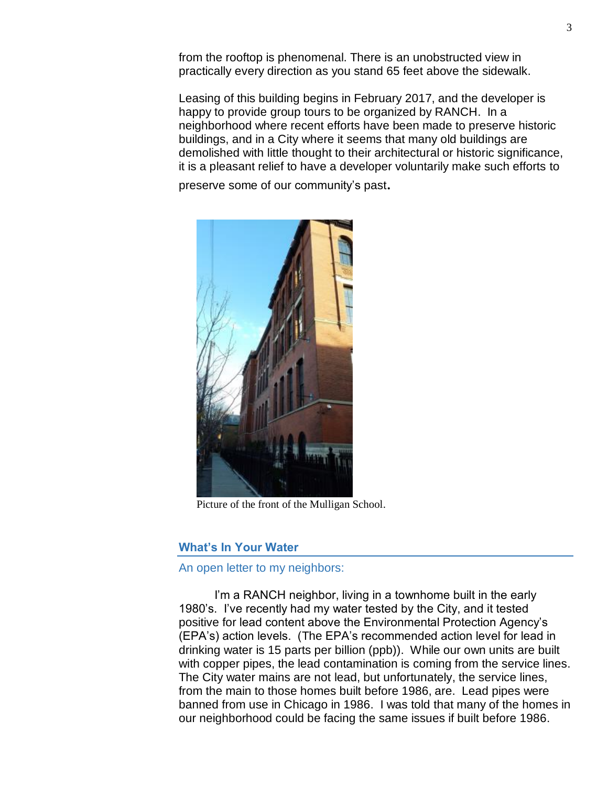from the rooftop is phenomenal. There is an unobstructed view in practically every direction as you stand 65 feet above the sidewalk.

Leasing of this building begins in February 2017, and the developer is happy to provide group tours to be organized by RANCH. In a neighborhood where recent efforts have been made to preserve historic buildings, and in a City where it seems that many old buildings are demolished with little thought to their architectural or historic significance, it is a pleasant relief to have a developer voluntarily make such efforts to

preserve some of our community's past.



Picture of the front of the Mulligan School.

#### **What's In Your Water**

## An open letter to my neighbors:

I'm a RANCH neighbor, living in a townhome built in the early 1980's. I've recently had my water tested by the City, and it tested positive for lead content above the Environmental Protection Agency's (EPA's) action levels. (The EPA's recommended action level for lead in drinking water is 15 parts per billion (ppb)). While our own units are built with copper pipes, the lead contamination is coming from the service lines. The City water mains are not lead, but unfortunately, the service lines, from the main to those homes built before 1986, are. Lead pipes were banned from use in Chicago in 1986. I was told that many of the homes in our neighborhood could be facing the same issues if built before 1986.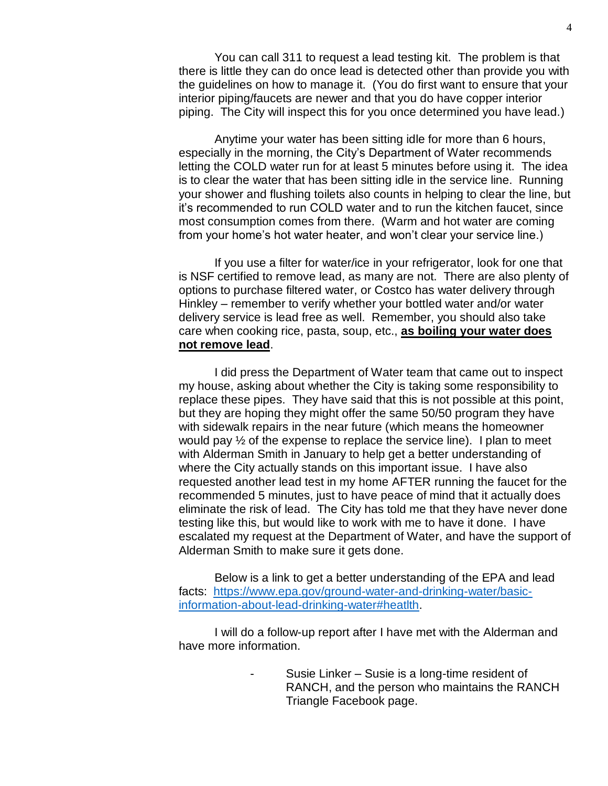You can call 311 to request a lead testing kit. The problem is that there is little they can do once lead is detected other than provide you with the guidelines on how to manage it. (You do first want to ensure that your interior piping/faucets are newer and that you do have copper interior piping. The City will inspect this for you once determined you have lead.)

Anytime your water has been sitting idle for more than 6 hours, especially in the morning, the City's Department of Water recommends letting the COLD water run for at least 5 minutes before using it. The idea is to clear the water that has been sitting idle in the service line. Running your shower and flushing toilets also counts in helping to clear the line, but it's recommended to run COLD water and to run the kitchen faucet, since most consumption comes from there. (Warm and hot water are coming from your home's hot water heater, and won't clear your service line.)

If you use a filter for water/ice in your refrigerator, look for one that is NSF certified to remove lead, as many are not. There are also plenty of options to purchase filtered water, or Costco has water delivery through Hinkley – remember to verify whether your bottled water and/or water delivery service is lead free as well. Remember, you should also take care when cooking rice, pasta, soup, etc., **as boiling your water does not remove lead**.

I did press the Department of Water team that came out to inspect my house, asking about whether the City is taking some responsibility to replace these pipes. They have said that this is not possible at this point, but they are hoping they might offer the same 50/50 program they have with sidewalk repairs in the near future (which means the homeowner would pay  $\frac{1}{2}$  of the expense to replace the service line). I plan to meet with Alderman Smith in January to help get a better understanding of where the City actually stands on this important issue. I have also requested another lead test in my home AFTER running the faucet for the recommended 5 minutes, just to have peace of mind that it actually does eliminate the risk of lead. The City has told me that they have never done testing like this, but would like to work with me to have it done. I have escalated my request at the Department of Water, and have the support of Alderman Smith to make sure it gets done.

Below is a link to get a better understanding of the EPA and lead facts: [https://www.epa.gov/ground-water-and-drinking-water/basic](https://www.epa.gov/ground-water-and-drinking-water/basic-information-about-lead-drinking-water#heatlth)[information-about-lead-drinking-water#heatlth.](https://www.epa.gov/ground-water-and-drinking-water/basic-information-about-lead-drinking-water#heatlth)

I will do a follow-up report after I have met with the Alderman and have more information.

> Susie Linker – Susie is a long-time resident of RANCH, and the person who maintains the RANCH Triangle Facebook page.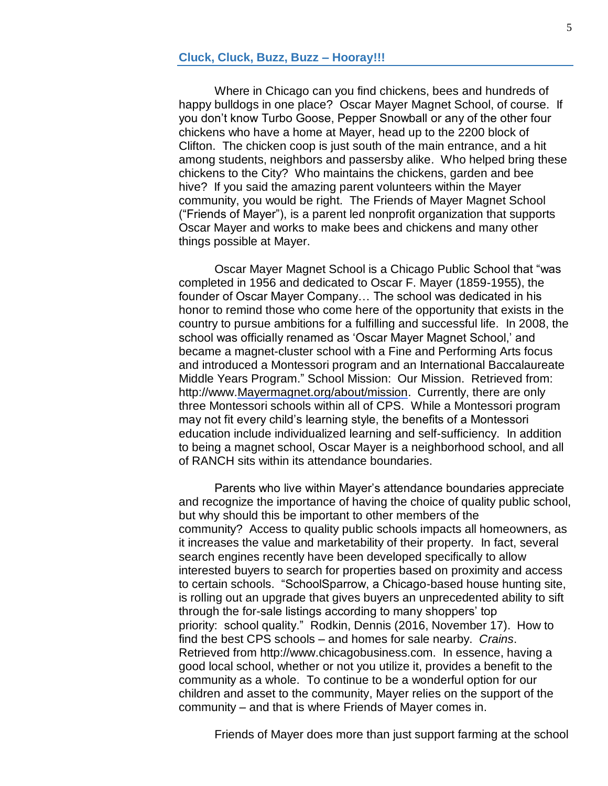Where in Chicago can you find chickens, bees and hundreds of happy bulldogs in one place? Oscar Mayer Magnet School, of course. If you don't know Turbo Goose, Pepper Snowball or any of the other four chickens who have a home at Mayer, head up to the 2200 block of Clifton. The chicken coop is just south of the main entrance, and a hit among students, neighbors and passersby alike. Who helped bring these chickens to the City? Who maintains the chickens, garden and bee hive? If you said the amazing parent volunteers within the Mayer community, you would be right. The Friends of Mayer Magnet School ("Friends of Mayer"), is a parent led nonprofit organization that supports Oscar Mayer and works to make bees and chickens and many other things possible at Mayer.

Oscar Mayer Magnet School is a Chicago Public School that "was completed in 1956 and dedicated to Oscar F. Mayer (1859-1955), the founder of Oscar Mayer Company… The school was dedicated in his honor to remind those who come here of the opportunity that exists in the country to pursue ambitions for a fulfilling and successful life. In 2008, the school was officially renamed as 'Oscar Mayer Magnet School,' and became a magnet-cluster school with a Fine and Performing Arts focus and introduced a Montessori program and an International Baccalaureate Middle Years Program." School Mission: Our Mission. Retrieved from: http://www[.Mayermagnet.org/about/mission.](http://mayermagnet.org/about/mission) Currently, there are only three Montessori schools within all of CPS. While a Montessori program may not fit every child's learning style, the benefits of a Montessori education include individualized learning and self-sufficiency. In addition to being a magnet school, Oscar Mayer is a neighborhood school, and all of RANCH sits within its attendance boundaries.

Parents who live within Mayer's attendance boundaries appreciate and recognize the importance of having the choice of quality public school, but why should this be important to other members of the community? Access to quality public schools impacts all homeowners, as it increases the value and marketability of their property. In fact, several search engines recently have been developed specifically to allow interested buyers to search for properties based on proximity and access to certain schools. "SchoolSparrow, a Chicago-based house hunting site, is rolling out an upgrade that gives buyers an unprecedented ability to sift through the for-sale listings according to many shoppers' top priority: school quality." Rodkin, Dennis (2016, November 17). How to find the best CPS schools – and homes for sale nearby. *Crains*. Retrieved from http://www.chicagobusiness.com. In essence, having a good local school, whether or not you utilize it, provides a benefit to the community as a whole. To continue to be a wonderful option for our children and asset to the community, Mayer relies on the support of the community – and that is where Friends of Mayer comes in.

Friends of Mayer does more than just support farming at the school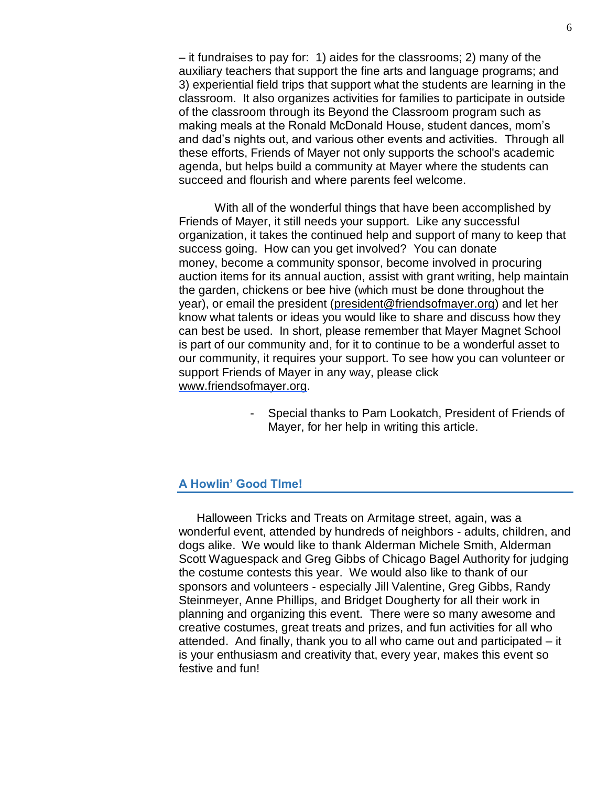– it fundraises to pay for: 1) aides for the classrooms; 2) many of the auxiliary teachers that support the fine arts and language programs; and 3) experiential field trips that support what the students are learning in the classroom. It also organizes activities for families to participate in outside of the classroom through its Beyond the Classroom program such as making meals at the Ronald McDonald House, student dances, mom's and dad's nights out, and various other events and activities. Through all these efforts, Friends of Mayer not only supports the school's academic agenda, but helps build a community at Mayer where the students can succeed and flourish and where parents feel welcome.

With all of the wonderful things that have been accomplished by Friends of Mayer, it still needs your support. Like any successful organization, it takes the continued help and support of many to keep that success going. How can you get involved? You can donate money, become a community sponsor, become involved in procuring auction items for its annual auction, assist with grant writing, help maintain the garden, chickens or bee hive (which must be done throughout the year), or email the president [\(president@friendsofmayer.org\)](mailto:president@friendsofmayer.org) and let her know what talents or ideas you would like to share and discuss how they can best be used. In short, please remember that Mayer Magnet School is part of our community and, for it to continue to be a wonderful asset to our community, it requires your support. To see how you can volunteer or support Friends of Mayer in any way, please click [www.friendsofmayer.org.](http://www.friendsofmayer.org/)

> - Special thanks to Pam Lookatch, President of Friends of Mayer, for her help in writing this article.

## **A Howlin' Good TIme!**

Halloween Tricks and Treats on Armitage street, again, was a wonderful event, attended by hundreds of neighbors - adults, children, and dogs alike. We would like to thank Alderman Michele Smith, Alderman Scott Waguespack and Greg Gibbs of Chicago Bagel Authority for judging the costume contests this year. We would also like to thank of our sponsors and volunteers - especially Jill Valentine, Greg Gibbs, Randy Steinmeyer, Anne Phillips, and Bridget Dougherty for all their work in planning and organizing this event. There were so many awesome and creative costumes, great treats and prizes, and fun activities for all who attended. And finally, thank you to all who came out and participated – it is your enthusiasm and creativity that, every year, makes this event so festive and fun!